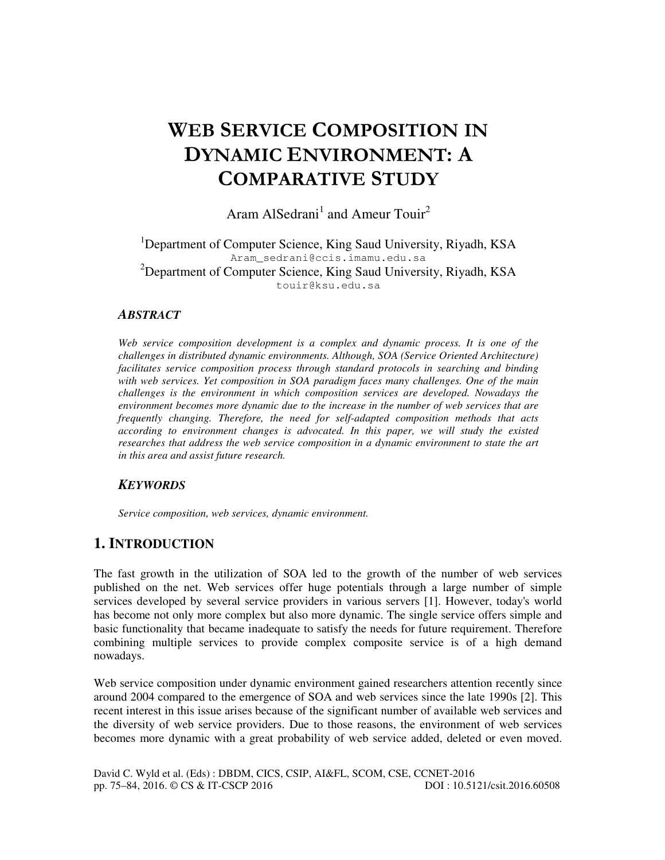# WEB SERVICE COMPOSITION IN DYNAMIC ENVIRONMENT: A COMPARATIVE STUDY

Aram AlSedrani<sup>1</sup> and Ameur Touir<sup>2</sup>

<sup>1</sup>Department of Computer Science, King Saud University, Riyadh, KSA Aram\_sedrani@ccis.imamu.edu.sa <sup>2</sup>Department of Computer Science, King Saud University, Riyadh, KSA touir@ksu.edu.sa

## *ABSTRACT*

*Web service composition development is a complex and dynamic process. It is one of the challenges in distributed dynamic environments. Although, SOA (Service Oriented Architecture)*  facilitates service composition process through standard protocols in searching and binding *with web services. Yet composition in SOA paradigm faces many challenges. One of the main challenges is the environment in which composition services are developed. Nowadays the environment becomes more dynamic due to the increase in the number of web services that are frequently changing. Therefore, the need for self-adapted composition methods that acts according to environment changes is advocated. In this paper, we will study the existed researches that address the web service composition in a dynamic environment to state the art in this area and assist future research.* 

## *KEYWORDS*

*Service composition, web services, dynamic environment.* 

# **1. INTRODUCTION**

The fast growth in the utilization of SOA led to the growth of the number of web services published on the net. Web services offer huge potentials through a large number of simple services developed by several service providers in various servers [1]. However, today's world has become not only more complex but also more dynamic. The single service offers simple and basic functionality that became inadequate to satisfy the needs for future requirement. Therefore combining multiple services to provide complex composite service is of a high demand nowadays.

Web service composition under dynamic environment gained researchers attention recently since around 2004 compared to the emergence of SOA and web services since the late 1990s [2]. This recent interest in this issue arises because of the significant number of available web services and the diversity of web service providers. Due to those reasons, the environment of web services becomes more dynamic with a great probability of web service added, deleted or even moved.

David C. Wyld et al. (Eds) : DBDM, CICS, CSIP, AI&FL, SCOM, CSE, CCNET-2016 pp. 75–84, 2016. © CS & IT-CSCP 2016 DOI : 10.5121/csit.2016.60508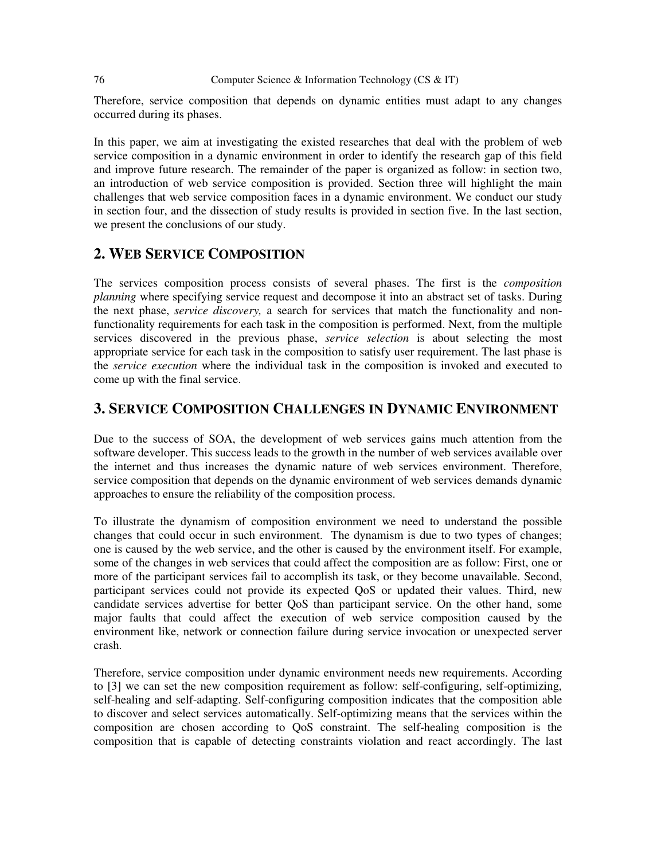#### 76 Computer Science & Information Technology (CS & IT)

Therefore, service composition that depends on dynamic entities must adapt to any changes occurred during its phases.

In this paper, we aim at investigating the existed researches that deal with the problem of web service composition in a dynamic environment in order to identify the research gap of this field and improve future research. The remainder of the paper is organized as follow: in section two, an introduction of web service composition is provided. Section three will highlight the main challenges that web service composition faces in a dynamic environment. We conduct our study in section four, and the dissection of study results is provided in section five. In the last section, we present the conclusions of our study.

## **2. WEB SERVICE COMPOSITION**

The services composition process consists of several phases. The first is the *composition planning* where specifying service request and decompose it into an abstract set of tasks. During the next phase, *service discovery,* a search for services that match the functionality and nonfunctionality requirements for each task in the composition is performed. Next, from the multiple services discovered in the previous phase, *service selection* is about selecting the most appropriate service for each task in the composition to satisfy user requirement. The last phase is the *service execution* where the individual task in the composition is invoked and executed to come up with the final service.

## **3. SERVICE COMPOSITION CHALLENGES IN DYNAMIC ENVIRONMENT**

Due to the success of SOA, the development of web services gains much attention from the software developer. This success leads to the growth in the number of web services available over the internet and thus increases the dynamic nature of web services environment. Therefore, service composition that depends on the dynamic environment of web services demands dynamic approaches to ensure the reliability of the composition process.

To illustrate the dynamism of composition environment we need to understand the possible changes that could occur in such environment. The dynamism is due to two types of changes; one is caused by the web service, and the other is caused by the environment itself. For example, some of the changes in web services that could affect the composition are as follow: First, one or more of the participant services fail to accomplish its task, or they become unavailable. Second, participant services could not provide its expected QoS or updated their values. Third, new candidate services advertise for better QoS than participant service. On the other hand, some major faults that could affect the execution of web service composition caused by the environment like, network or connection failure during service invocation or unexpected server crash.

Therefore, service composition under dynamic environment needs new requirements. According to [3] we can set the new composition requirement as follow: self-configuring, self-optimizing, self-healing and self-adapting. Self-configuring composition indicates that the composition able to discover and select services automatically. Self-optimizing means that the services within the composition are chosen according to QoS constraint. The self-healing composition is the composition that is capable of detecting constraints violation and react accordingly. The last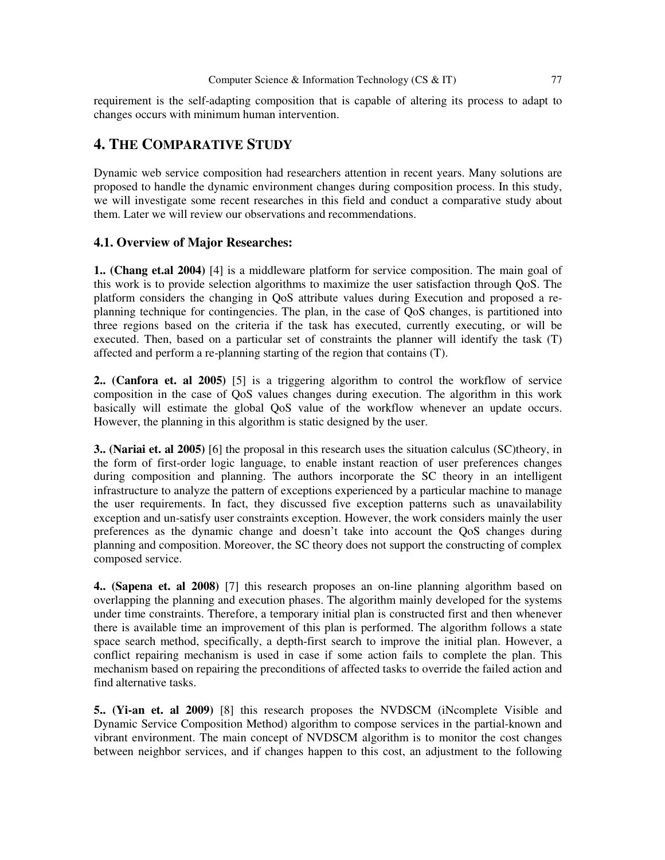requirement is the self-adapting composition that is capable of altering its process to adapt to changes occurs with minimum human intervention.

## **4. THE COMPARATIVE STUDY**

Dynamic web service composition had researchers attention in recent years. Many solutions are proposed to handle the dynamic environment changes during composition process. In this study, we will investigate some recent researches in this field and conduct a comparative study about them. Later we will review our observations and recommendations.

#### **4.1. Overview of Major Researches:**

**1.. (Chang et.al 2004)** [4] is a middleware platform for service composition. The main goal of this work is to provide selection algorithms to maximize the user satisfaction through QoS. The platform considers the changing in QoS attribute values during Execution and proposed a replanning technique for contingencies. The plan, in the case of QoS changes, is partitioned into three regions based on the criteria if the task has executed, currently executing, or will be executed. Then, based on a particular set of constraints the planner will identify the task (T) affected and perform a re-planning starting of the region that contains (T).

**2.. (Canfora et. al 2005)** [5] is a triggering algorithm to control the workflow of service composition in the case of QoS values changes during execution. The algorithm in this work basically will estimate the global QoS value of the workflow whenever an update occurs. However, the planning in this algorithm is static designed by the user.

**3.. (Nariai et. al 2005)** [6] the proposal in this research uses the situation calculus (SC)theory, in the form of first-order logic language, to enable instant reaction of user preferences changes during composition and planning. The authors incorporate the SC theory in an intelligent infrastructure to analyze the pattern of exceptions experienced by a particular machine to manage the user requirements. In fact, they discussed five exception patterns such as unavailability exception and un-satisfy user constraints exception. However, the work considers mainly the user preferences as the dynamic change and doesn't take into account the QoS changes during planning and composition. Moreover, the SC theory does not support the constructing of complex composed service.

**4.. (Sapena et. al 2008)** [7] this research proposes an on-line planning algorithm based on overlapping the planning and execution phases. The algorithm mainly developed for the systems under time constraints. Therefore, a temporary initial plan is constructed first and then whenever there is available time an improvement of this plan is performed. The algorithm follows a state space search method, specifically, a depth-first search to improve the initial plan. However, a conflict repairing mechanism is used in case if some action fails to complete the plan. This mechanism based on repairing the preconditions of affected tasks to override the failed action and find alternative tasks.

**5.. (Yi-an et. al 2009)** [8] this research proposes the NVDSCM (iNcomplete Visible and Dynamic Service Composition Method) algorithm to compose services in the partial-known and vibrant environment. The main concept of NVDSCM algorithm is to monitor the cost changes between neighbor services, and if changes happen to this cost, an adjustment to the following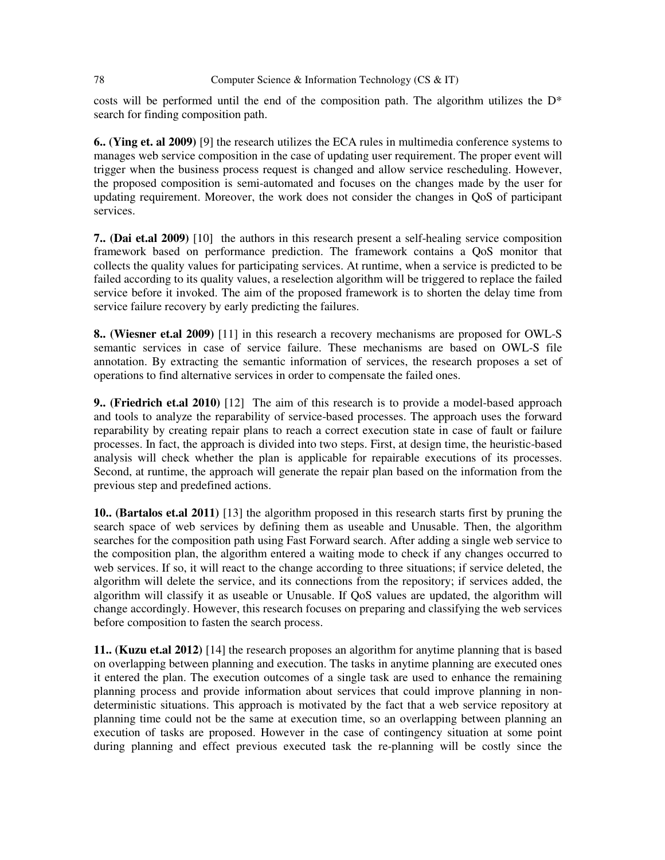#### 78 Computer Science & Information Technology (CS & IT)

costs will be performed until the end of the composition path. The algorithm utilizes the  $D^*$ search for finding composition path.

**6.. (Ying et. al 2009)** [9] the research utilizes the ECA rules in multimedia conference systems to manages web service composition in the case of updating user requirement. The proper event will trigger when the business process request is changed and allow service rescheduling. However, the proposed composition is semi-automated and focuses on the changes made by the user for updating requirement. Moreover, the work does not consider the changes in QoS of participant services.

**7.. (Dai et.al 2009)** [10] the authors in this research present a self-healing service composition framework based on performance prediction. The framework contains a QoS monitor that collects the quality values for participating services. At runtime, when a service is predicted to be failed according to its quality values, a reselection algorithm will be triggered to replace the failed service before it invoked. The aim of the proposed framework is to shorten the delay time from service failure recovery by early predicting the failures.

**8.. (Wiesner et.al 2009)** [11] in this research a recovery mechanisms are proposed for OWL-S semantic services in case of service failure. These mechanisms are based on OWL-S file annotation. By extracting the semantic information of services, the research proposes a set of operations to find alternative services in order to compensate the failed ones.

**9.. (Friedrich et.al 2010)** [12] The aim of this research is to provide a model-based approach and tools to analyze the reparability of service-based processes. The approach uses the forward reparability by creating repair plans to reach a correct execution state in case of fault or failure processes. In fact, the approach is divided into two steps. First, at design time, the heuristic-based analysis will check whether the plan is applicable for repairable executions of its processes. Second, at runtime, the approach will generate the repair plan based on the information from the previous step and predefined actions.

**10.. (Bartalos et.al 2011)** [13] the algorithm proposed in this research starts first by pruning the search space of web services by defining them as useable and Unusable. Then, the algorithm searches for the composition path using Fast Forward search. After adding a single web service to the composition plan, the algorithm entered a waiting mode to check if any changes occurred to web services. If so, it will react to the change according to three situations; if service deleted, the algorithm will delete the service, and its connections from the repository; if services added, the algorithm will classify it as useable or Unusable. If QoS values are updated, the algorithm will change accordingly. However, this research focuses on preparing and classifying the web services before composition to fasten the search process.

**11.. (Kuzu et.al 2012)** [14] the research proposes an algorithm for anytime planning that is based on overlapping between planning and execution. The tasks in anytime planning are executed ones it entered the plan. The execution outcomes of a single task are used to enhance the remaining planning process and provide information about services that could improve planning in nondeterministic situations. This approach is motivated by the fact that a web service repository at planning time could not be the same at execution time, so an overlapping between planning an execution of tasks are proposed. However in the case of contingency situation at some point during planning and effect previous executed task the re-planning will be costly since the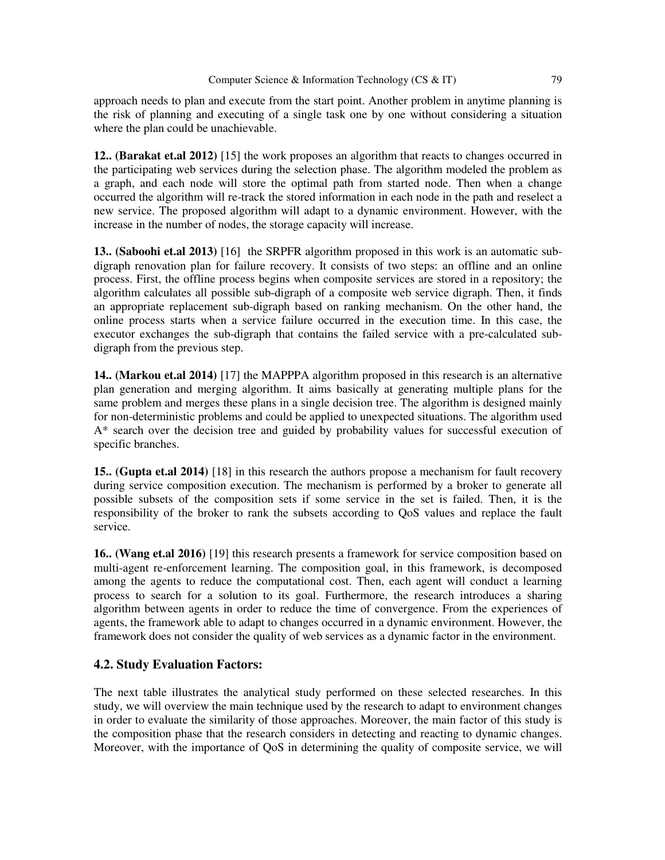approach needs to plan and execute from the start point. Another problem in anytime planning is the risk of planning and executing of a single task one by one without considering a situation where the plan could be unachievable.

**12.. (Barakat et.al 2012)** [15] the work proposes an algorithm that reacts to changes occurred in the participating web services during the selection phase. The algorithm modeled the problem as a graph, and each node will store the optimal path from started node. Then when a change occurred the algorithm will re-track the stored information in each node in the path and reselect a new service. The proposed algorithm will adapt to a dynamic environment. However, with the increase in the number of nodes, the storage capacity will increase.

**13.. (Saboohi et.al 2013)** [16] the SRPFR algorithm proposed in this work is an automatic subdigraph renovation plan for failure recovery. It consists of two steps: an offline and an online process. First, the offline process begins when composite services are stored in a repository; the algorithm calculates all possible sub-digraph of a composite web service digraph. Then, it finds an appropriate replacement sub-digraph based on ranking mechanism. On the other hand, the online process starts when a service failure occurred in the execution time. In this case, the executor exchanges the sub-digraph that contains the failed service with a pre-calculated subdigraph from the previous step.

**14.. (Markou et.al 2014)** [17] the MAPPPA algorithm proposed in this research is an alternative plan generation and merging algorithm. It aims basically at generating multiple plans for the same problem and merges these plans in a single decision tree. The algorithm is designed mainly for non-deterministic problems and could be applied to unexpected situations. The algorithm used A\* search over the decision tree and guided by probability values for successful execution of specific branches.

**15.. (Gupta et.al 2014)** [18] in this research the authors propose a mechanism for fault recovery during service composition execution. The mechanism is performed by a broker to generate all possible subsets of the composition sets if some service in the set is failed. Then, it is the responsibility of the broker to rank the subsets according to QoS values and replace the fault service.

**16.. (Wang et.al 2016)** [19] this research presents a framework for service composition based on multi-agent re-enforcement learning. The composition goal, in this framework, is decomposed among the agents to reduce the computational cost. Then, each agent will conduct a learning process to search for a solution to its goal. Furthermore, the research introduces a sharing algorithm between agents in order to reduce the time of convergence. From the experiences of agents, the framework able to adapt to changes occurred in a dynamic environment. However, the framework does not consider the quality of web services as a dynamic factor in the environment.

## **4.2. Study Evaluation Factors:**

The next table illustrates the analytical study performed on these selected researches. In this study, we will overview the main technique used by the research to adapt to environment changes in order to evaluate the similarity of those approaches. Moreover, the main factor of this study is the composition phase that the research considers in detecting and reacting to dynamic changes. Moreover, with the importance of QoS in determining the quality of composite service, we will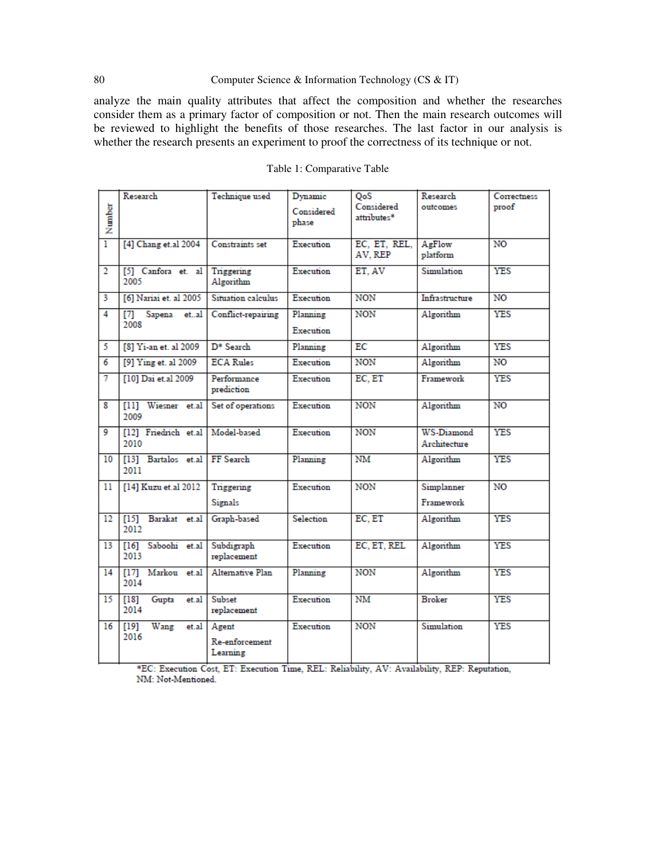#### 80 Computer Science & Information Technology (CS & IT)

analyze the main quality attributes that affect the composition and whether the researches consider them as a primary factor of composition or not. Then the main research outcomes will be reviewed to highlight the benefits of those researches. The last factor in our analysis is whether the research presents an experiment to proof the correctness of its technique or not.

|                | Research                        | Technique used                      | Dynamic               | QoS                       | Research                   | Correctness    |
|----------------|---------------------------------|-------------------------------------|-----------------------|---------------------------|----------------------------|----------------|
| Number         |                                 |                                     | Considered<br>phase   | Considered<br>attributes* | outcomes                   | proof          |
|                |                                 |                                     |                       |                           |                            |                |
| ī              | [4] Chang et.al 2004            | Constraints set                     | Execution             | EC, ET, REL,<br>AV. REP   | AgFlow<br>platform         | N <sub>O</sub> |
| $\overline{2}$ | [5] Canfora et. al<br>2005      | Triggering<br>Algorithm             | Execution             | ET. AV                    | Simulation                 | <b>YES</b>     |
| 3              | [6] Nariai et. al 2005          | Situation calculus                  | Execution             | <b>NON</b>                | Infrastructure             | N <sub>O</sub> |
| $\overline{4}$ | [7] Sapena<br>etal<br>2008      | Conflict-repairing                  | Planning<br>Execution | <b>NON</b>                | Algorithm                  | <b>YES</b>     |
| 5              | [8] Yi-an et. al 2009           | $D*$ Search                         | Planning              | ЕC                        | Algorithm                  | <b>YES</b>     |
| 6              | [9] Ying et. al 2009            | <b>ECA Rules</b>                    | Execution             | <b>NON</b>                | Algorithm                  | N <sub>O</sub> |
| 7              | [10] Dai et.al 2009             | Performance<br>prediction           | Execution             | EC, ET                    | Framework                  | <b>YES</b>     |
| 8              | [11] Wiesner et.al<br>2009      | Set of operations                   | Execution             | <b>NON</b>                | Algorithm                  | N <sub>O</sub> |
| 9              | [12] Friedrich et.al<br>2010    | Model-based                         | Execution             | <b>NON</b>                | WS-Diamond<br>Architecture | <b>YES</b>     |
| 10             | [13] Bartalos et.al<br>2011     | FF Search                           | Planning              | NM                        | Algorithm                  | <b>YES</b>     |
| 11             | [14] Kuzu et.al 2012            | Triggering                          | Execution             | <b>NON</b>                | Simplanner                 | N <sub>O</sub> |
|                |                                 | Signals                             |                       |                           | Framework                  |                |
| 12             | [15] Barakat et.al<br>2012      | Graph-based                         | Selection             | EC, ET                    | Algorithm                  | <b>YES</b>     |
| 13             | [16] Saboohi et.al<br>2013      | Subdigraph<br>replacement           | Execution             | EC, ET, REL               | Algorithm                  | <b>YES</b>     |
| 14             | $[17]$<br>Markou et.al<br>2014  | Alternative Plan                    | Planning              | <b>NON</b>                | Algorithm                  | <b>YES</b>     |
| 15             | [18]<br>Gupta<br>et.al<br>2014  | Subset<br>replacement               | Execution             | NM                        | <b>Broker</b>              | <b>YES</b>     |
| 16             | $[19]$<br>Wang<br>et.al<br>2016 | Agent<br>Re-enforcement<br>Learning | Execution             | <b>NON</b>                | Simulation                 | <b>YES</b>     |

#### Table 1: Comparative Table

\*EC: Execution Cost, ET: Execution Time, REL: Reliability, AV: Availability, REP: Reputation, NM: Not-Mentioned.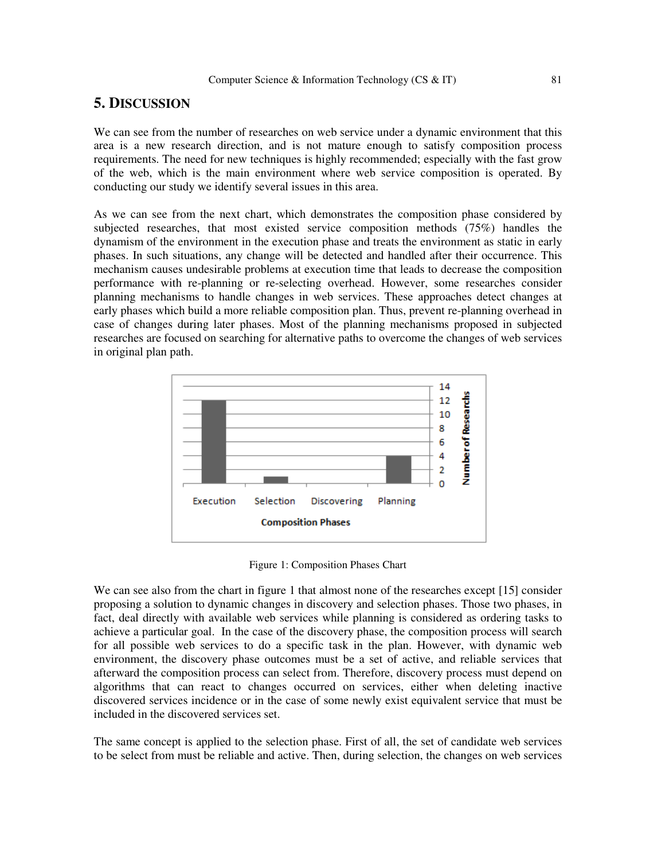# **5. DISCUSSION**

We can see from the number of researches on web service under a dynamic environment that this area is a new research direction, and is not mature enough to satisfy composition process requirements. The need for new techniques is highly recommended; especially with the fast grow of the web, which is the main environment where web service composition is operated. By conducting our study we identify several issues in this area.

As we can see from the next chart, which demonstrates the composition phase considered by subjected researches, that most existed service composition methods (75%) handles the dynamism of the environment in the execution phase and treats the environment as static in early phases. In such situations, any change will be detected and handled after their occurrence. This mechanism causes undesirable problems at execution time that leads to decrease the composition performance with re-planning or re-selecting overhead. However, some researches consider planning mechanisms to handle changes in web services. These approaches detect changes at early phases which build a more reliable composition plan. Thus, prevent re-planning overhead in case of changes during later phases. Most of the planning mechanisms proposed in subjected researches are focused on searching for alternative paths to overcome the changes of web services in original plan path.



Figure 1: Composition Phases Chart

We can see also from the chart in figure 1 that almost none of the researches except [15] consider proposing a solution to dynamic changes in discovery and selection phases. Those two phases, in fact, deal directly with available web services while planning is considered as ordering tasks to achieve a particular goal. In the case of the discovery phase, the composition process will search for all possible web services to do a specific task in the plan. However, with dynamic web environment, the discovery phase outcomes must be a set of active, and reliable services that afterward the composition process can select from. Therefore, discovery process must depend on algorithms that can react to changes occurred on services, either when deleting inactive discovered services incidence or in the case of some newly exist equivalent service that must be included in the discovered services set.

The same concept is applied to the selection phase. First of all, the set of candidate web services to be select from must be reliable and active. Then, during selection, the changes on web services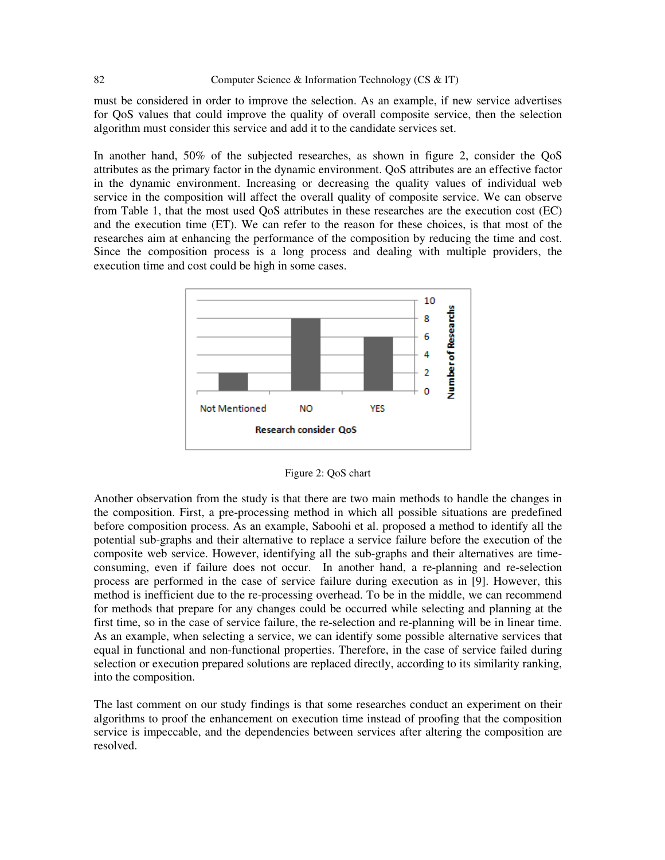must be considered in order to improve the selection. As an example, if new service advertises for QoS values that could improve the quality of overall composite service, then the selection algorithm must consider this service and add it to the candidate services set.

In another hand, 50% of the subjected researches, as shown in figure 2, consider the QoS attributes as the primary factor in the dynamic environment. QoS attributes are an effective factor in the dynamic environment. Increasing or decreasing the quality values of individual web service in the composition will affect the overall quality of composite service. We can observe from Table 1, that the most used QoS attributes in these researches are the execution cost (EC) and the execution time (ET). We can refer to the reason for these choices, is that most of the researches aim at enhancing the performance of the composition by reducing the time and cost. Since the composition process is a long process and dealing with multiple providers, the execution time and cost could be high in some cases.



Figure 2: QoS chart

Another observation from the study is that there are two main methods to handle the changes in the composition. First, a pre-processing method in which all possible situations are predefined before composition process. As an example, Saboohi et al. proposed a method to identify all the potential sub-graphs and their alternative to replace a service failure before the execution of the composite web service. However, identifying all the sub-graphs and their alternatives are timeconsuming, even if failure does not occur. In another hand, a re-planning and re-selection process are performed in the case of service failure during execution as in [9]. However, this method is inefficient due to the re-processing overhead. To be in the middle, we can recommend for methods that prepare for any changes could be occurred while selecting and planning at the first time, so in the case of service failure, the re-selection and re-planning will be in linear time. As an example, when selecting a service, we can identify some possible alternative services that equal in functional and non-functional properties. Therefore, in the case of service failed during selection or execution prepared solutions are replaced directly, according to its similarity ranking, into the composition.

The last comment on our study findings is that some researches conduct an experiment on their algorithms to proof the enhancement on execution time instead of proofing that the composition service is impeccable, and the dependencies between services after altering the composition are resolved.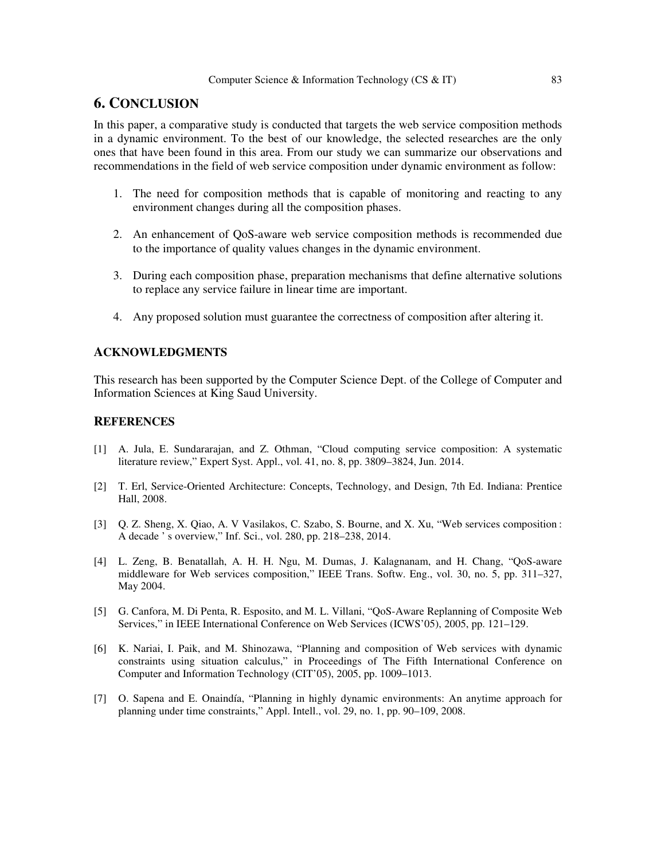# **6. CONCLUSION**

In this paper, a comparative study is conducted that targets the web service composition methods in a dynamic environment. To the best of our knowledge, the selected researches are the only ones that have been found in this area. From our study we can summarize our observations and recommendations in the field of web service composition under dynamic environment as follow:

- 1. The need for composition methods that is capable of monitoring and reacting to any environment changes during all the composition phases.
- 2. An enhancement of QoS-aware web service composition methods is recommended due to the importance of quality values changes in the dynamic environment.
- 3. During each composition phase, preparation mechanisms that define alternative solutions to replace any service failure in linear time are important.
- 4. Any proposed solution must guarantee the correctness of composition after altering it.

## **ACKNOWLEDGMENTS**

This research has been supported by the Computer Science Dept. of the College of Computer and Information Sciences at King Saud University.

#### **REFERENCES**

- [1] A. Jula, E. Sundararajan, and Z. Othman, "Cloud computing service composition: A systematic literature review," Expert Syst. Appl., vol. 41, no. 8, pp. 3809–3824, Jun. 2014.
- [2] T. Erl, Service-Oriented Architecture: Concepts, Technology, and Design, 7th Ed. Indiana: Prentice Hall, 2008.
- [3] Q. Z. Sheng, X. Qiao, A. V Vasilakos, C. Szabo, S. Bourne, and X. Xu, "Web services composition : A decade ' s overview," Inf. Sci., vol. 280, pp. 218–238, 2014.
- [4] L. Zeng, B. Benatallah, A. H. H. Ngu, M. Dumas, J. Kalagnanam, and H. Chang, "QoS-aware middleware for Web services composition," IEEE Trans. Softw. Eng., vol. 30, no. 5, pp. 311–327, May 2004.
- [5] G. Canfora, M. Di Penta, R. Esposito, and M. L. Villani, "QoS-Aware Replanning of Composite Web Services," in IEEE International Conference on Web Services (ICWS'05), 2005, pp. 121–129.
- [6] K. Nariai, I. Paik, and M. Shinozawa, "Planning and composition of Web services with dynamic constraints using situation calculus," in Proceedings of The Fifth International Conference on Computer and Information Technology (CIT'05), 2005, pp. 1009–1013.
- [7] O. Sapena and E. Onaindía, "Planning in highly dynamic environments: An anytime approach for planning under time constraints," Appl. Intell., vol. 29, no. 1, pp. 90–109, 2008.